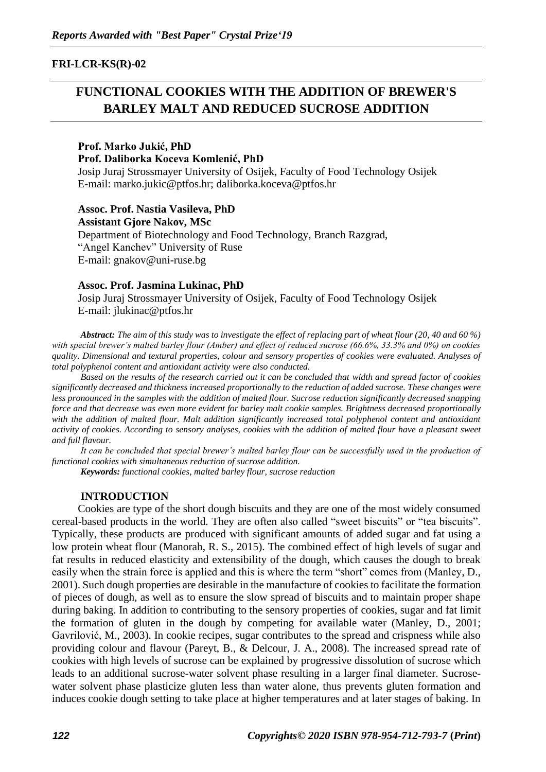## **FRI-LCR-KS(R)-02**

# **FUNCTIONAL COOKIES WITH THE ADDITION OF BREWER'S BARLEY MALT AND REDUCED SUCROSE ADDITION**

#### **Prof. Marko Jukić, PhD Prof. Daliborka Koceva Komlenić, PhD**

Josip Juraj Strossmayer University of Osijek, Faculty of Food Technology Osijek E-mail: marko.jukic@ptfos.hr; daliborka.koceva@ptfos.hr

# **Assoc. Prof. Nastia Vasileva, PhD**

**Assistant Gjore Nakov, MSc** Department of Biotechnology and Food Technology, Branch Razgrad, "Angel Kanchev" University of Ruse

Е-mail: gnakov@uni-ruse.bg

## **Assoc. Prof. Jasmina Lukinac, PhD**

Josip Juraj Strossmayer University of Osijek, Faculty of Food Technology Osijek E-mail: jlukinac@ptfos.hr

*Abstract: The aim of this study was to investigate the effect of replacing part of wheat flour (20, 40 and 60 %) with special brewer's malted barley flour (Amber) and effect of reduced sucrose (66.6%, 33.3% and 0%) on cookies quality. Dimensional and textural properties, colour and sensory properties of cookies were evaluated. Analyses of total polyphenol content and antioxidant activity were also conducted.*

*Based on the results of the research carried out it can be concluded that width and spread factor of cookies significantly decreased and thickness increased proportionally to the reduction of added sucrose. These changes were less pronounced in the samples with the addition of malted flour. Sucrose reduction significantly decreased snapping force and that decrease was even more evident for barley malt cookie samples. Brightness decreased proportionally*  with the addition of malted flour. Malt addition significantly increased total polyphenol content and antioxidant *activity of cookies. According to sensory analyses, cookies with the addition of malted flour have a pleasant sweet and full flavour.*

*It can be concluded that special brewer's malted barley flour can be successfully used in the production of functional cookies with simultaneous reduction of sucrose addition.*

*Keywords: functional cookies, malted barley flour, sucrose reduction*

## **INTRODUCTION**

Cookies are type of the short dough biscuits and they are one of the most widely consumed cereal-based products in the world. They are often also called "sweet biscuits" or "tea biscuits". Typically, these products are produced with significant amounts of added sugar and fat using a low protein wheat flour (Manorah, R. S., 2015). The combined effect of high levels of sugar and fat results in reduced elasticity and extensibility of the dough, which causes the dough to break easily when the strain force is applied and this is where the term "short" comes from (Manley, D., 2001). Such dough properties are desirable in the manufacture of cookies to facilitate the formation of pieces of dough, as well as to ensure the slow spread of biscuits and to maintain proper shape during baking. In addition to contributing to the sensory properties of cookies, sugar and fat limit the formation of gluten in the dough by competing for available water (Manley, D., 2001; Gavrilović, M., 2003). In cookie recipes, sugar contributes to the spread and crispness while also providing colour and flavour (Pareyt, B., & Delcour, J. A., 2008). The increased spread rate of cookies with high levels of sucrose can be explained by progressive dissolution of sucrose which leads to an additional sucrose-water solvent phase resulting in a larger final diameter. Sucrosewater solvent phase plasticize gluten less than water alone, thus prevents gluten formation and induces cookie dough setting to take place at higher temperatures and at later stages of baking. In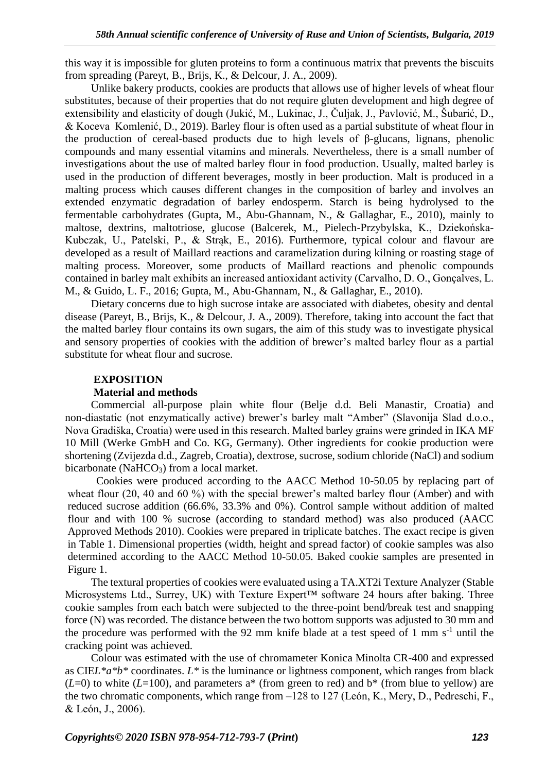this way it is impossible for gluten proteins to form a continuous matrix that prevents the biscuits from spreading (Pareyt, B., Brijs, K., & Delcour, J. A., 2009).

Unlike bakery products, cookies are products that allows use of higher levels of wheat flour substitutes, because of their properties that do not require gluten development and high degree of extensibility and elasticity of dough (Jukić, M., Lukinac, J., Čuljak, J., Pavlović, M., Šubarić, D., & Koceva Komlenić, D., 2019). Barley flour is often used as a partial substitute of wheat flour in the production of cereal-based products due to high levels of β-glucans, lignans, phenolic compounds and many essential vitamins and minerals. Nevertheless, there is a small number of investigations about the use of malted barley flour in food production. Usually, malted barley is used in the production of different beverages, mostly in beer production. Malt is produced in a malting process which causes different changes in the composition of barley and involves an extended enzymatic degradation of barley endosperm. Starch is being hydrolysed to the fermentable carbohydrates (Gupta, M., Abu-Ghannam, N., & Gallaghar, E., 2010), mainly to maltose, dextrins, maltotriose, glucose (Balcerek, M., Pielech-Przybylska, K., Dziekońska-Kubczak, U., Patelski, P., & Strąk, E., 2016). Furthermore, typical colour and flavour are developed as a result of Maillard reactions and caramelization during kilning or roasting stage of malting process. Moreover, some products of Maillard reactions and phenolic compounds contained in barley malt exhibits an increased antioxidant activity (Carvalho, D. O., Gonçalves, L. M., & Guido, L. F., 2016; Gupta, M., Abu‐Ghannam, N., & Gallaghar, E., 2010).

Dietary concerns due to high sucrose intake are associated with diabetes, obesity and dental disease (Pareyt, B., Brijs, K., & Delcour, J. A., 2009). Therefore, taking into account the fact that the malted barley flour contains its own sugars, the aim of this study was to investigate physical and sensory properties of cookies with the addition of brewer's malted barley flour as a partial substitute for wheat flour and sucrose.

## **EXPOSITION**

#### **Material and methods**

Commercial all-purpose plain white flour (Belje d.d. Beli Manastir, Croatia) and non-diastatic (not enzymatically active) brewer's barley malt "Amber" (Slavonija Slad d.o.o., Nova Gradiška, Croatia) were used in this research. Malted barley grains were grinded in IKA MF 10 Mill (Werke GmbH and Co. KG, Germany). Other ingredients for cookie production were shortening (Zvijezda d.d., Zagreb, Croatia), dextrose, sucrose, sodium chloride (NaCl) and sodium bicarbonate (NaHCO<sub>3</sub>) from a local market.

Cookies were produced according to the AACC Method 10-50.05 by replacing part of wheat flour (20, 40 and 60 %) with the special brewer's malted barley flour (Amber) and with reduced sucrose addition (66.6%, 33.3% and 0%). Control sample without addition of malted flour and with 100 % sucrose (according to standard method) was also produced (AACC Approved Methods 2010). Cookies were prepared in triplicate batches. The exact recipe is given in Table 1. Dimensional properties (width, height and spread factor) of cookie samples was also determined according to the AACC Method 10-50.05. Baked cookie samples are presented in Figure 1.

The textural properties of cookies were evaluated using a TA.XT2i Texture Analyzer (Stable Microsystems Ltd., Surrey, UK) with Texture Expert™ software 24 hours after baking. Three cookie samples from each batch were subjected to the three-point bend/break test and snapping force (N) was recorded. The distance between the two bottom supports was adjusted to 30 mm and the procedure was performed with the 92 mm knife blade at a test speed of 1 mm  $s^{-1}$  until the cracking point was achieved.

Colour was estimated with the use of chromameter Konica Minolta CR-400 and expressed as CIE*L\*a\*b\** coordinates. *L\** is the luminance or lightness component, which ranges from black  $(L=0)$  to white  $(L=100)$ , and parameters a<sup>\*</sup> (from green to red) and b<sup>\*</sup> (from blue to yellow) are the two chromatic components, which range from –128 to 127 (León, K., Mery, D., Pedreschi, F., & León, J., 2006).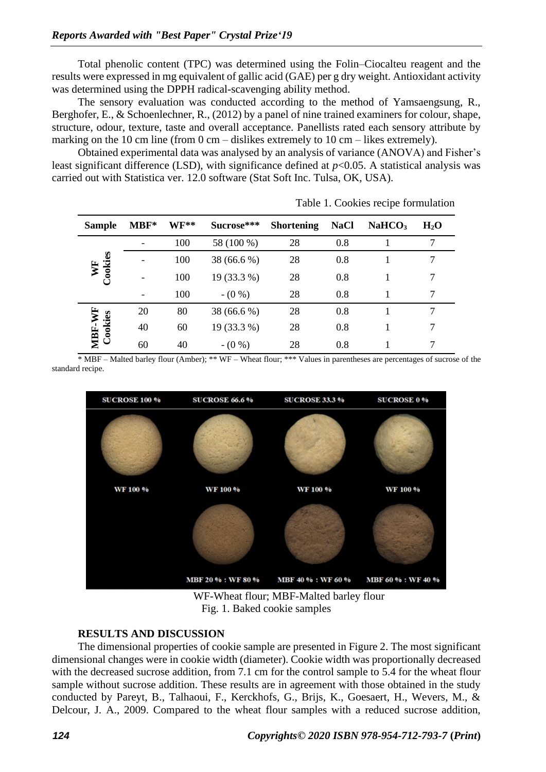Total phenolic content (TPC) was determined using the Folin–Ciocalteu reagent and the results were expressed in mg equivalent of gallic acid (GAE) per g dry weight. Antioxidant activity was determined using the DPPH radical-scavenging ability method.

The sensory evaluation was conducted according to the method of Yamsaengsung, R., Berghofer, E., & Schoenlechner, R., (2012) by a panel of nine trained examiners for colour, shape, structure, odour, texture, taste and overall acceptance. Panellists rated each sensory attribute by marking on the 10 cm line (from 0 cm – dislikes extremely to 10 cm – likes extremely).

Obtained experimental data was analysed by an analysis of variance (ANOVA) and Fisher's least significant difference (LSD), with significance defined at *p*<0.05. A statistical analysis was carried out with Statistica ver. 12.0 software (Stat Soft Inc. Tulsa, OK, USA).

| <b>Sample</b>         | $MBF*$                   | $WF^{**}$ | Sucrose***  | <b>Shortening</b> | <b>NaCl</b> | NaHCO <sub>3</sub> | $H_2O$ |
|-----------------------|--------------------------|-----------|-------------|-------------------|-------------|--------------------|--------|
| WF<br>Cookies         |                          | 100       | 58 (100 %)  | 28                | 0.8         |                    | ⇁      |
|                       |                          | 100       | 38 (66.6 %) | 28                | 0.8         |                    | 7      |
|                       | $\overline{\phantom{a}}$ | 100       | 19 (33.3 %) | 28                | 0.8         |                    | 7      |
|                       |                          | 100       | $- (0\% )$  | 28                | 0.8         |                    |        |
| ⋤<br>Cookies<br>MBF-W | 20                       | 80        | 38 (66.6 %) | 28                | 0.8         |                    | 7      |
|                       | 40                       | 60        | 19 (33.3 %) | 28                | 0.8         |                    | 7      |
|                       | 60                       | 40        | $- (0\% )$  | 28                | 0.8         |                    | 7      |

Table 1. Cookies recipe formulation

\* MBF – Malted barley flour (Amber); \*\* WF – Wheat flour; \*\*\* Values in parentheses are percentages of sucrose of the standard recipe.



WF-Wheat flour; MBF-Malted barley flour Fig. 1. Baked cookie samples

## **RESULTS AND DISCUSSION**

The dimensional properties of cookie sample are presented in Figure 2. The most significant dimensional changes were in cookie width (diameter). Cookie width was proportionally decreased with the decreased sucrose addition, from 7.1 cm for the control sample to 5.4 for the wheat flour sample without sucrose addition. These results are in agreement with those obtained in the study conducted by Pareyt, B., Talhaoui, F., Kerckhofs, G., Brijs, K., Goesaert, H., Wevers, M., & Delcour, J. A., 2009. Compared to the wheat flour samples with a reduced sucrose addition,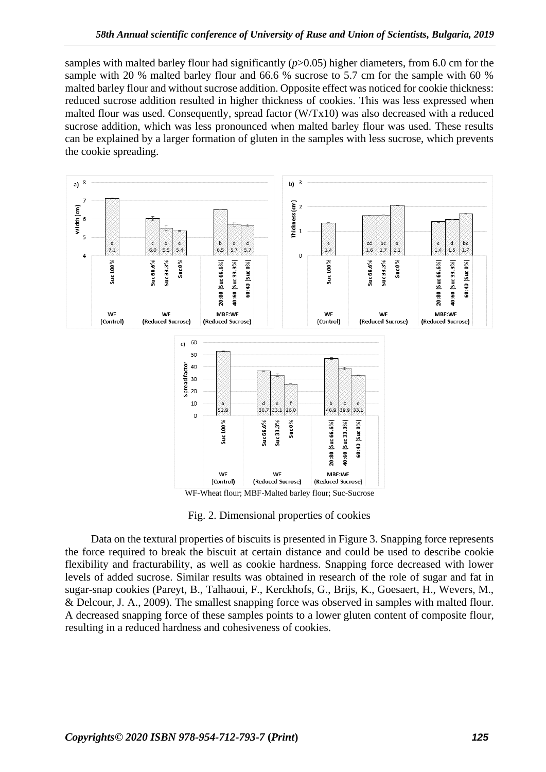samples with malted barley flour had significantly (*p*>0.05) higher diameters, from 6.0 cm for the sample with 20 % malted barley flour and 66.6 % sucrose to 5.7 cm for the sample with 60 % malted barley flour and without sucrose addition. Opposite effect was noticed for cookie thickness: reduced sucrose addition resulted in higher thickness of cookies. This was less expressed when malted flour was used. Consequently, spread factor (W/Tx10) was also decreased with a reduced sucrose addition, which was less pronounced when malted barley flour was used. These results can be explained by a larger formation of gluten in the samples with less sucrose, which prevents the cookie spreading.



Fig. 2. Dimensional properties of cookies

Data on the textural properties of biscuits is presented in Figure 3. Snapping force represents the force required to break the biscuit at certain distance and could be used to describe cookie flexibility and fracturability, as well as cookie hardness. Snapping force decreased with lower levels of added sucrose. Similar results was obtained in research of the role of sugar and fat in sugar-snap cookies (Pareyt, B., Talhaoui, F., Kerckhofs, G., Brijs, K., Goesaert, H., Wevers, M., & Delcour, J. A., 2009). The smallest snapping force was observed in samples with malted flour. A decreased snapping force of these samples points to a lower gluten content of composite flour, resulting in a reduced hardness and cohesiveness of cookies.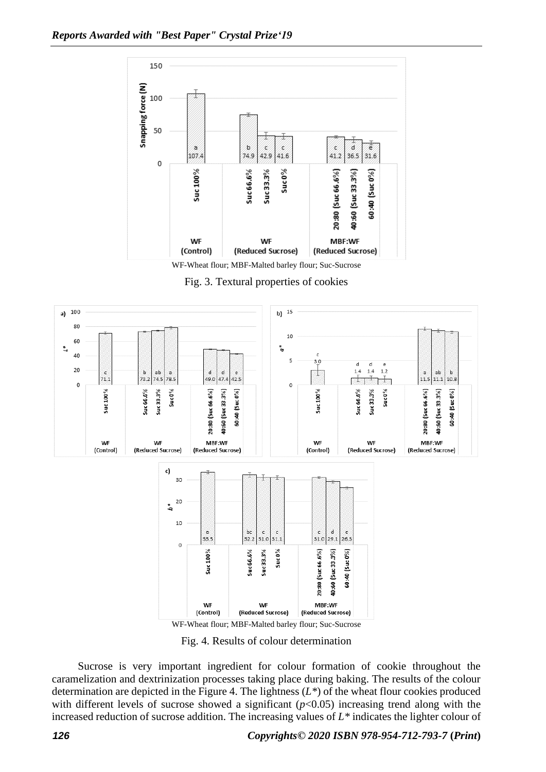

Fig. 3. Textural properties of cookies



Fig. 4. Results of colour determination

Sucrose is very important ingredient for colour formation of cookie throughout the caramelization and dextrinization processes taking place during baking. The results of the colour determination are depicted in the Figure 4. The lightness (*L\**) of the wheat flour cookies produced with different levels of sucrose showed a significant  $(p<0.05)$  increasing trend along with the increased reduction of sucrose addition. The increasing values of *L\** indicates the lighter colour of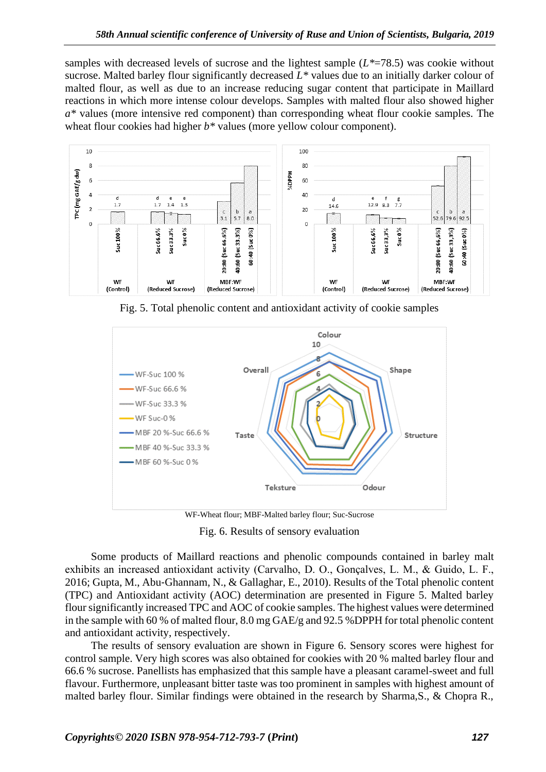samples with decreased levels of sucrose and the lightest sample (*L\**=78.5) was cookie without sucrose. Malted barley flour significantly decreased *L\** values due to an initially darker colour of malted flour, as well as due to an increase reducing sugar content that participate in Maillard reactions in which more intense colour develops. Samples with malted flour also showed higher *a\** values (more intensive red component) than corresponding wheat flour cookie samples. The wheat flour cookies had higher  $b^*$  values (more yellow colour component).



Fig. 5. Total phenolic content and antioxidant activity of cookie samples



Fig. 6. Results of sensory evaluation

Some products of Maillard reactions and phenolic compounds contained in barley malt exhibits an increased antioxidant activity (Carvalho, D. O., Gonçalves, L. M., & Guido, L. F., 2016; Gupta, M., Abu‐Ghannam, N., & Gallaghar, E., 2010). Results of the Total phenolic content (TPC) and Antioxidant activity (AOC) determination are presented in Figure 5. Malted barley flour significantly increased TPC and AOC of cookie samples. The highest values were determined in the sample with 60 % of malted flour, 8.0 mg GAE/g and 92.5 %DPPH for total phenolic content and antioxidant activity, respectively.

The results of sensory evaluation are shown in Figure 6. Sensory scores were highest for control sample. Very high scores was also obtained for cookies with 20 % malted barley flour and 66.6 % sucrose. Panellists has emphasized that this sample have a pleasant caramel-sweet and full flavour. Furthermore, unpleasant bitter taste was too prominent in samples with highest amount of malted barley flour. Similar findings were obtained in the research by Sharma,S., & Chopra R.,